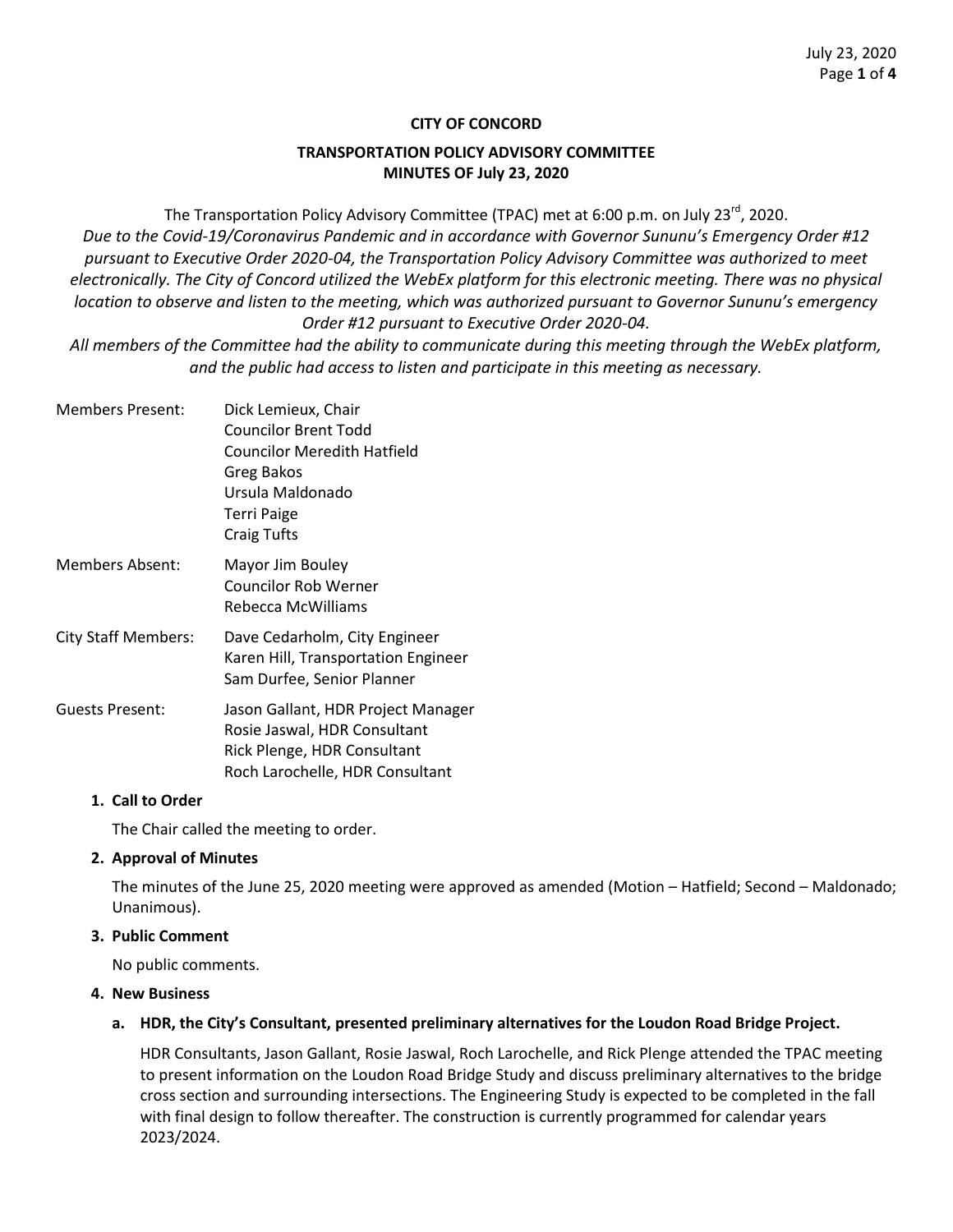### **CITY OF CONCORD**

### **TRANSPORTATION POLICY ADVISORY COMMITTEE MINUTES OF July 23, 2020**

The Transportation Policy Advisory Committee (TPAC) met at 6:00 p.m. on July 23<sup>rd</sup>, 2020. *Due to the Covid-19/Coronavirus Pandemic and in accordance with Governor Sununu's Emergency Order #12 pursuant to Executive Order 2020-04, the Transportation Policy Advisory Committee was authorized to meet*  electronically. The City of Concord utilized the WebEx platform for this electronic meeting. There was no physical *location to observe and listen to the meeting, which was authorized pursuant to Governor Sununu's emergency Order #12 pursuant to Executive Order 2020-04.*

*All members of the Committee had the ability to communicate during this meeting through the WebEx platform, and the public had access to listen and participate in this meeting as necessary.* 

Members Present: Dick Lemieux, Chair Councilor Brent Todd Councilor Meredith Hatfield Greg Bakos Ursula Maldonado Terri Paige Craig Tufts Members Absent: Mayor Jim Bouley Councilor Rob Werner Rebecca McWilliams City Staff Members: Dave Cedarholm, City Engineer Karen Hill, Transportation Engineer Sam Durfee, Senior Planner Guests Present: Jason Gallant, HDR Project Manager Rosie Jaswal, HDR Consultant

### **1. Call to Order**

The Chair called the meeting to order.

Rick Plenge, HDR Consultant Roch Larochelle, HDR Consultant

### **2. Approval of Minutes**

The minutes of the June 25, 2020 meeting were approved as amended (Motion – Hatfield; Second – Maldonado; Unanimous).

### **3. Public Comment**

No public comments.

#### **4. New Business**

### **a. HDR, the City's Consultant, presented preliminary alternatives for the Loudon Road Bridge Project.**

HDR Consultants, Jason Gallant, Rosie Jaswal, Roch Larochelle, and Rick Plenge attended the TPAC meeting to present information on the Loudon Road Bridge Study and discuss preliminary alternatives to the bridge cross section and surrounding intersections. The Engineering Study is expected to be completed in the fall with final design to follow thereafter. The construction is currently programmed for calendar years 2023/2024.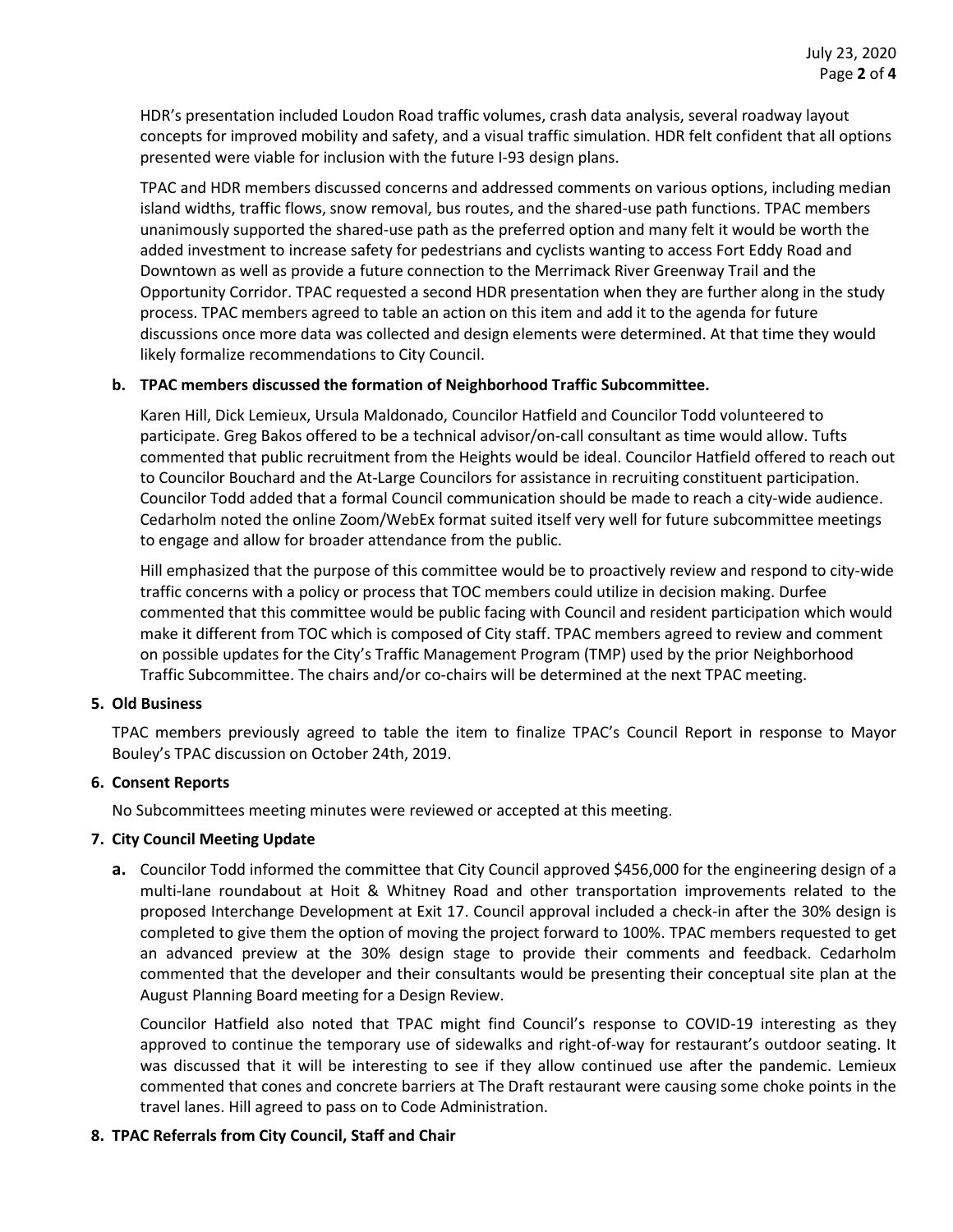HDR's presentation included Loudon Road traffic volumes, crash data analysis, several roadway layout concepts for improved mobility and safety, and a visual traffic simulation. HDR felt confident that all options presented were viable for inclusion with the future I-93 design plans.

TPAC and HDR members discussed concerns and addressed comments on various options, including median island widths, traffic flows, snow removal, bus routes, and the shared-use path functions. TPAC members unanimously supported the shared-use path as the preferred option and many felt it would be worth the added investment to increase safety for pedestrians and cyclists wanting to access Fort Eddy Road and Downtown as well as provide a future connection to the Merrimack River Greenway Trail and the Opportunity Corridor. TPAC requested a second HDR presentation when they are further along in the study process. TPAC members agreed to table an action on this item and add it to the agenda for future discussions once more data was collected and design elements were determined. At that time they would likely formalize recommendations to City Council.

### **b. TPAC members discussed the formation of Neighborhood Traffic Subcommittee.**

Karen Hill, Dick Lemieux, Ursula Maldonado, Councilor Hatfield and Councilor Todd volunteered to participate. Greg Bakos offered to be a technical advisor/on-call consultant as time would allow. Tufts commented that public recruitment from the Heights would be ideal. Councilor Hatfield offered to reach out to Councilor Bouchard and the At-Large Councilors for assistance in recruiting constituent participation. Councilor Todd added that a formal Council communication should be made to reach a city-wide audience. Cedarholm noted the online Zoom/WebEx format suited itself very well for future subcommittee meetings to engage and allow for broader attendance from the public.

Hill emphasized that the purpose of this committee would be to proactively review and respond to city-wide traffic concerns with a policy or process that TOC members could utilize in decision making. Durfee commented that this committee would be public facing with Council and resident participation which would make it different from TOC which is composed of City staff. TPAC members agreed to review and comment on possible updates for the City's Traffic Management Program (TMP) used by the prior Neighborhood Traffic Subcommittee. The chairs and/or co-chairs will be determined at the next TPAC meeting.

### **5. Old Business**

TPAC members previously agreed to table the item to finalize TPAC's Council Report in response to Mayor Bouley's TPAC discussion on October 24th, 2019.

# **6. Consent Reports**

No Subcommittees meeting minutes were reviewed or accepted at this meeting.

# **7. City Council Meeting Update**

**a.** Councilor Todd informed the committee that City Council approved \$456,000 for the engineering design of a multi-lane roundabout at Hoit & Whitney Road and other transportation improvements related to the proposed Interchange Development at Exit 17. Council approval included a check-in after the 30% design is completed to give them the option of moving the project forward to 100%. TPAC members requested to get an advanced preview at the 30% design stage to provide their comments and feedback. Cedarholm commented that the developer and their consultants would be presenting their conceptual site plan at the August Planning Board meeting for a Design Review.

Councilor Hatfield also noted that TPAC might find Council's response to COVID-19 interesting as they approved to continue the temporary use of sidewalks and right-of-way for restaurant's outdoor seating. It was discussed that it will be interesting to see if they allow continued use after the pandemic. Lemieux commented that cones and concrete barriers at The Draft restaurant were causing some choke points in the travel lanes. Hill agreed to pass on to Code Administration.

### **8. TPAC Referrals from City Council, Staff and Chair**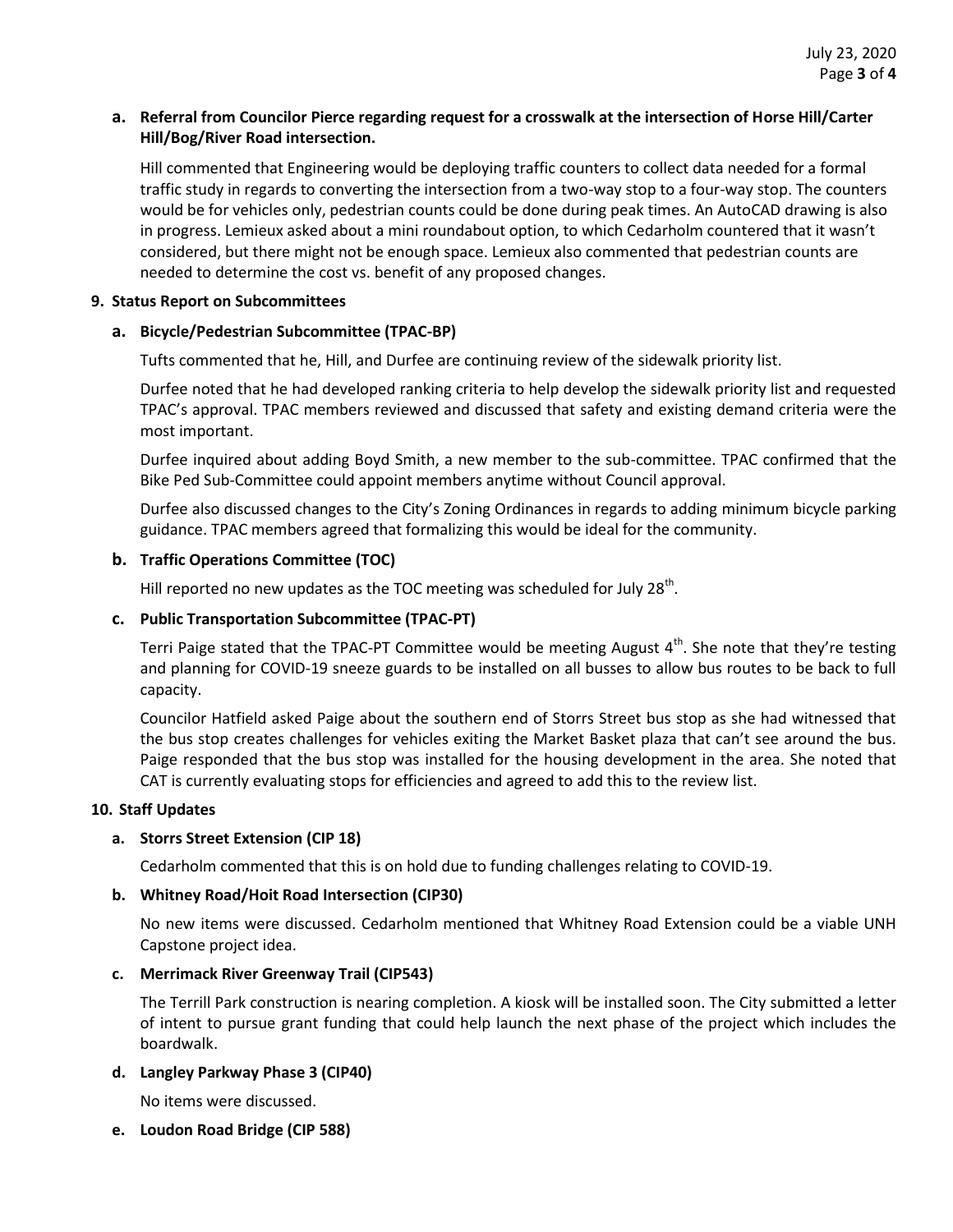### **a. Referral from Councilor Pierce regarding request for a crosswalk at the intersection of Horse Hill/Carter Hill/Bog/River Road intersection.**

Hill commented that Engineering would be deploying traffic counters to collect data needed for a formal traffic study in regards to converting the intersection from a two-way stop to a four-way stop. The counters would be for vehicles only, pedestrian counts could be done during peak times. An AutoCAD drawing is also in progress. Lemieux asked about a mini roundabout option, to which Cedarholm countered that it wasn't considered, but there might not be enough space. Lemieux also commented that pedestrian counts are needed to determine the cost vs. benefit of any proposed changes.

### **9. Status Report on Subcommittees**

# **a. Bicycle/Pedestrian Subcommittee (TPAC-BP)**

Tufts commented that he, Hill, and Durfee are continuing review of the sidewalk priority list.

Durfee noted that he had developed ranking criteria to help develop the sidewalk priority list and requested TPAC's approval. TPAC members reviewed and discussed that safety and existing demand criteria were the most important.

Durfee inquired about adding Boyd Smith, a new member to the sub-committee. TPAC confirmed that the Bike Ped Sub-Committee could appoint members anytime without Council approval.

Durfee also discussed changes to the City's Zoning Ordinances in regards to adding minimum bicycle parking guidance. TPAC members agreed that formalizing this would be ideal for the community.

### **b. Traffic Operations Committee (TOC)**

Hill reported no new updates as the TOC meeting was scheduled for July 28<sup>th</sup>.

### **c. Public Transportation Subcommittee (TPAC-PT)**

Terri Paige stated that the TPAC-PT Committee would be meeting August  $4<sup>th</sup>$ . She note that they're testing and planning for COVID-19 sneeze guards to be installed on all busses to allow bus routes to be back to full capacity.

Councilor Hatfield asked Paige about the southern end of Storrs Street bus stop as she had witnessed that the bus stop creates challenges for vehicles exiting the Market Basket plaza that can't see around the bus. Paige responded that the bus stop was installed for the housing development in the area. She noted that CAT is currently evaluating stops for efficiencies and agreed to add this to the review list.

### **10. Staff Updates**

# **a. Storrs Street Extension (CIP 18)**

Cedarholm commented that this is on hold due to funding challenges relating to COVID-19.

### **b. Whitney Road/Hoit Road Intersection (CIP30)**

No new items were discussed. Cedarholm mentioned that Whitney Road Extension could be a viable UNH Capstone project idea.

### **c. Merrimack River Greenway Trail (CIP543)**

The Terrill Park construction is nearing completion. A kiosk will be installed soon. The City submitted a letter of intent to pursue grant funding that could help launch the next phase of the project which includes the boardwalk.

# **d. Langley Parkway Phase 3 (CIP40)**

No items were discussed.

**e. Loudon Road Bridge (CIP 588)**